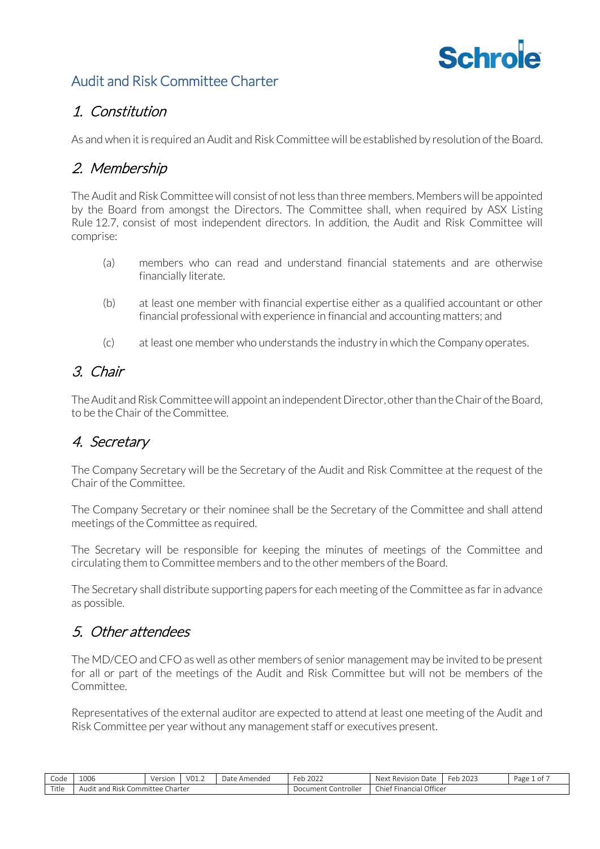# **Schrole**

## Audit and Risk Committee Charter

## 1. Constitution

As and when it is required an Audit and Risk Committee will be established by resolution of the Board.

## 2. Membership

The Audit and Risk Committee will consist of not less than three members. Members will be appointed by the Board from amongst the Directors. The Committee shall, when required by ASX Listing Rule 12.7, consist of most independent directors. In addition, the Audit and Risk Committee will comprise:

- (a) members who can read and understand financial statements and are otherwise financially literate.
- (b) at least one member with financial expertise either as a qualified accountant or other financial professional with experience in financial and accounting matters; and
- (c) at least one member who understands the industry in which the Company operates.

## 3. Chair

The Audit and Risk Committee will appoint an independent Director, other than the Chair of the Board, to be the Chair of the Committee.

# 4. Secretary

The Company Secretary will be the Secretary of the Audit and Risk Committee at the request of the Chair of the Committee.

The Company Secretary or their nominee shall be the Secretary of the Committee and shall attend meetings of the Committee as required.

The Secretary will be responsible for keeping the minutes of meetings of the Committee and circulating them to Committee members and to the other members of the Board.

The Secretary shall distribute supporting papers for each meeting of the Committee as far in advance as possible.

## 5. Other attendees

The MD/CEO and CFO as well as other members of senior management may be invited to be present for all or part of the meetings of the Audit and Risk Committee but will not be members of the Committee.

Representatives of the external auditor are expected to attend at least one meeting of the Audit and Risk Committee per year without any management staff or executives present.

| Code  | 1006                                             | Version | 101<br>VULL | Date<br>· Amended | 2022<br>$\sim$ $\sim$<br>ZUZZ<br>◡◡ | Nex <sup>1</sup><br>. Revision<br>Date        | 2022<br>n <sub>n</sub><br>2023<br>еu | 0t<br>Page |
|-------|--------------------------------------------------|---------|-------------|-------------------|-------------------------------------|-----------------------------------------------|--------------------------------------|------------|
| Title | -<br>harter۔<br>Committee f<br>Risk<br>Audit and |         |             |                   | $\mathbf{u}$<br>Document Controller | . Financial Officer<br>$\sim$ $\sim$<br>†hief |                                      |            |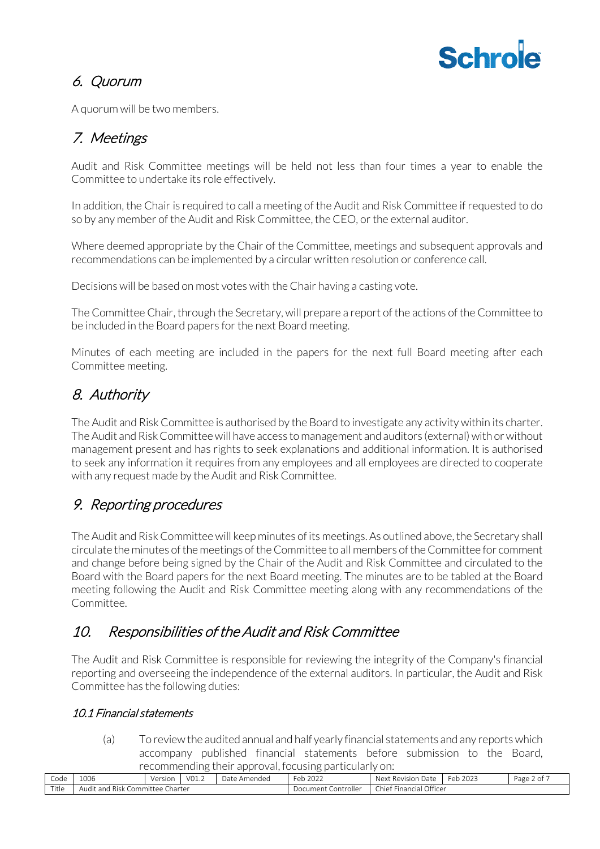# **Schrole**

# 6. Quorum

A quorum will be two members.

# 7. Meetings

Audit and Risk Committee meetings will be held not less than four times a year to enable the Committee to undertake its role effectively.

In addition, the Chair is required to call a meeting of the Audit and Risk Committee if requested to do so by any member of the Audit and Risk Committee, the CEO, or the external auditor.

Where deemed appropriate by the Chair of the Committee, meetings and subsequent approvals and recommendations can be implemented by a circular written resolution or conference call.

Decisions will be based on most votes with the Chair having a casting vote.

The Committee Chair, through the Secretary, will prepare a report of the actions of the Committee to be included in the Board papers for the next Board meeting.

Minutes of each meeting are included in the papers for the next full Board meeting after each Committee meeting.

# 8. Authority

The Audit and Risk Committee is authorised by the Board to investigate any activity within its charter. The Audit and Risk Committee will have access to management and auditors (external) with or without management present and has rights to seek explanations and additional information. It is authorised to seek any information it requires from any employees and all employees are directed to cooperate with any request made by the Audit and Risk Committee.

# 9. Reporting procedures

The Audit and Risk Committee will keep minutes of its meetings. As outlined above, the Secretary shall circulate the minutes of the meetings of the Committee to all members of the Committee for comment and change before being signed by the Chair of the Audit and Risk Committee and circulated to the Board with the Board papers for the next Board meeting. The minutes are to be tabled at the Board meeting following the Audit and Risk Committee meeting along with any recommendations of the Committee.

# 10. Responsibilities of the Audit and Risk Committee

The Audit and Risk Committee is responsible for reviewing the integrity of the Company's financial reporting and overseeing the independence of the external auditors. In particular, the Audit and Risk Committee has the following duties:

## 10.1 Financial statements

(a) To review the audited annual and half yearly financial statements and any reports which accompany published financial statements before submission to the Board, recommending their approval, focusing particularly on:

| Code  | 1006                                                   | Version | VO1.2 | -<br>Date<br>' Amended | Feb<br>222<br>ZUZZ            | ۲۷۵ ا<br>Revision<br>Date<br>ivex. | 2023<br>⊦eb | Page<br>-- |
|-------|--------------------------------------------------------|---------|-------|------------------------|-------------------------------|------------------------------------|-------------|------------|
| Title | $\cdots$<br>Charter<br>- Risk Committee<br>. Audit and |         |       |                        | <b>Controller</b><br>Document | Financial Officer<br>Chief         |             |            |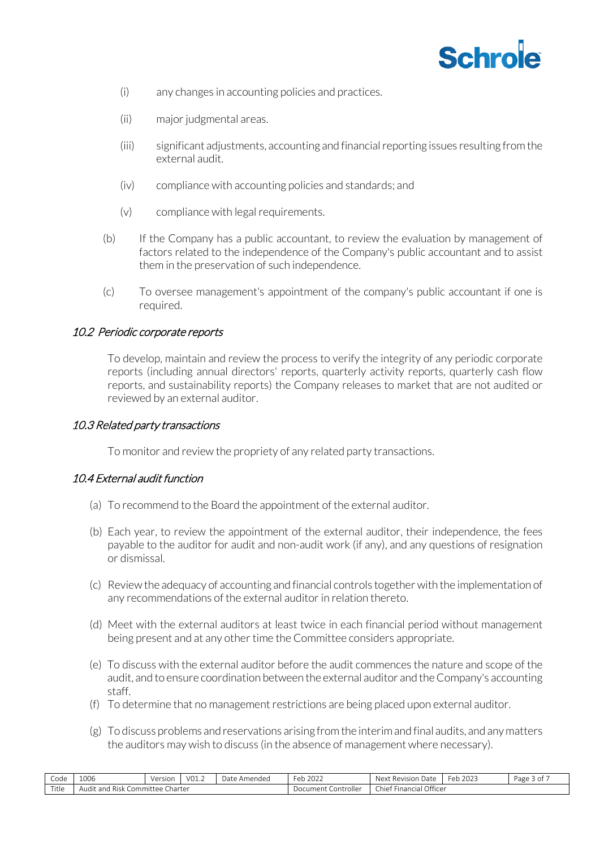

- (i) any changes in accounting policies and practices.
- (ii) major judgmental areas.
- (iii) significant adjustments, accounting and financial reporting issues resulting from the external audit.
- (iv) compliance with accounting policies and standards; and
- (v) compliance with legal requirements.
- (b) If the Company has a public accountant, to review the evaluation by management of factors related to the independence of the Company's public accountant and to assist them in the preservation of such independence.
- (c) To oversee management's appointment of the company's public accountant if one is required.

## 10.2 Periodic corporate reports

To develop, maintain and review the process to verify the integrity of any periodic corporate reports (including annual directors' reports, quarterly activity reports, quarterly cash flow reports, and sustainability reports) the Company releases to market that are not audited or reviewed by an external auditor.

### 10.3 Related party transactions

To monitor and review the propriety of any related party transactions.

#### 10.4 External audit function

- (a) To recommend to the Board the appointment of the external auditor.
- (b) Each year, to review the appointment of the external auditor, their independence, the fees payable to the auditor for audit and non-audit work (if any), and any questions of resignation or dismissal.
- (c) Review the adequacy of accounting and financial controls together with the implementation of any recommendations of the external auditor in relation thereto.
- (d) Meet with the external auditors at least twice in each financial period without management being present and at any other time the Committee considers appropriate.
- (e) To discuss with the external auditor before the audit commences the nature and scope of the audit, and to ensure coordination between the external auditor and the Company's accounting staff.
- (f) To determine that no management restrictions are being placed upon external auditor.
- (g) To discuss problems and reservations arising from the interim and final audits, and any matters the auditors may wish to discuss (in the absence of management where necessary).

| Code          | 1006                                           | Version | V01.2 | $\sim$<br>Date<br>Amended | Feb $2026$             | $\sim$<br>Next<br>Revision Date | 202<br>⊢eh<br>ZUZJ<br>$\mathbf{L}$ | Page 3 or |
|---------------|------------------------------------------------|---------|-------|---------------------------|------------------------|---------------------------------|------------------------------------|-----------|
| $-1$<br>ritle | -<br>committee<br>Risk<br>Audit and<br>Charter |         |       |                           | Document<br>Controller | Financial Officer<br>-hiefٽ     |                                    |           |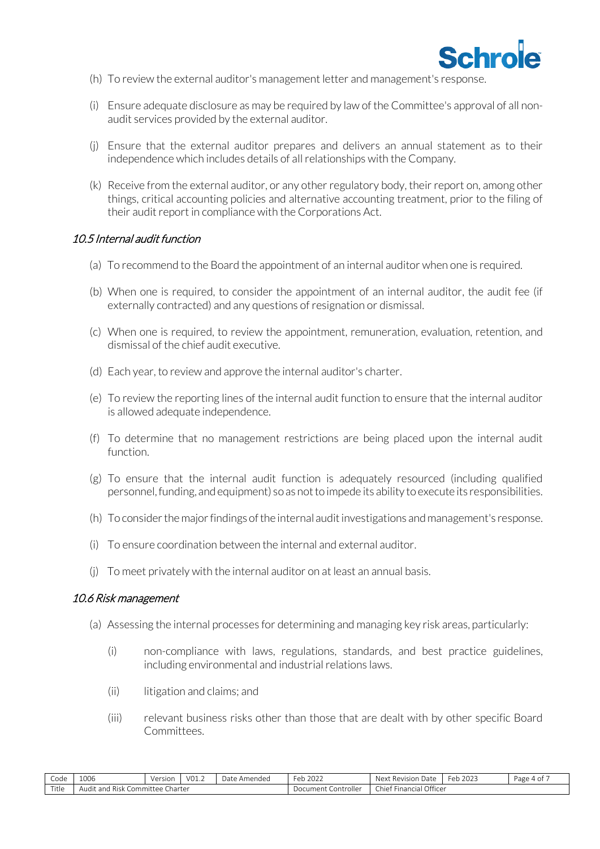

- (h) To review the external auditor's management letter and management's response.
- (i) Ensure adequate disclosure as may be required by law of the Committee's approval of all nonaudit services provided by the external auditor.
- (j) Ensure that the external auditor prepares and delivers an annual statement as to their independence which includes details of all relationships with the Company.
- (k) Receive from the external auditor, or any other regulatory body, their report on, among other things, critical accounting policies and alternative accounting treatment, prior to the filing of their audit report in compliance with the Corporations Act.

#### 10.5 Internal audit function

- (a) To recommend to the Board the appointment of an internal auditor when one is required.
- (b) When one is required, to consider the appointment of an internal auditor, the audit fee (if externally contracted) and any questions of resignation or dismissal.
- (c) When one is required, to review the appointment, remuneration, evaluation, retention, and dismissal of the chief audit executive.
- (d) Each year, to review and approve the internal auditor's charter.
- (e) To review the reporting lines of the internal audit function to ensure that the internal auditor is allowed adequate independence.
- (f) To determine that no management restrictions are being placed upon the internal audit function.
- (g) To ensure that the internal audit function is adequately resourced (including qualified personnel, funding, and equipment) so as not to impede its ability to execute its responsibilities.
- (h) To consider the major findings of the internal audit investigations and management's response.
- (i) To ensure coordination between the internal and external auditor.
- (j) To meet privately with the internal auditor on at least an annual basis.

#### 10.6 Risk management

- (a) Assessing the internal processes for determining and managing key risk areas, particularly:
	- (i) non-compliance with laws, regulations, standards, and best practice guidelines, including environmental and industrial relations laws.
	- (ii) litigation and claims; and
	- (iii) relevant business risks other than those that are dealt with by other specific Board Committees.

| Code                    | 1006              | Version                    | $\sim$<br>V01.2 | $\sim$<br>: Amended<br>Date | Feb 202∠               | $\sim$<br>Next<br>Revision Date   | 2022<br>⊬eh<br>ZUZ.<br>$\mathbf{L}$ | Page 4 or |
|-------------------------|-------------------|----------------------------|-----------------|-----------------------------|------------------------|-----------------------------------|-------------------------------------|-----------|
| <b>COLLECT</b><br>ritle | Risk<br>Audit and | --<br>Committee<br>Charter |                 |                             | Controller<br>Document | Financial Officer<br><b>Chief</b> |                                     |           |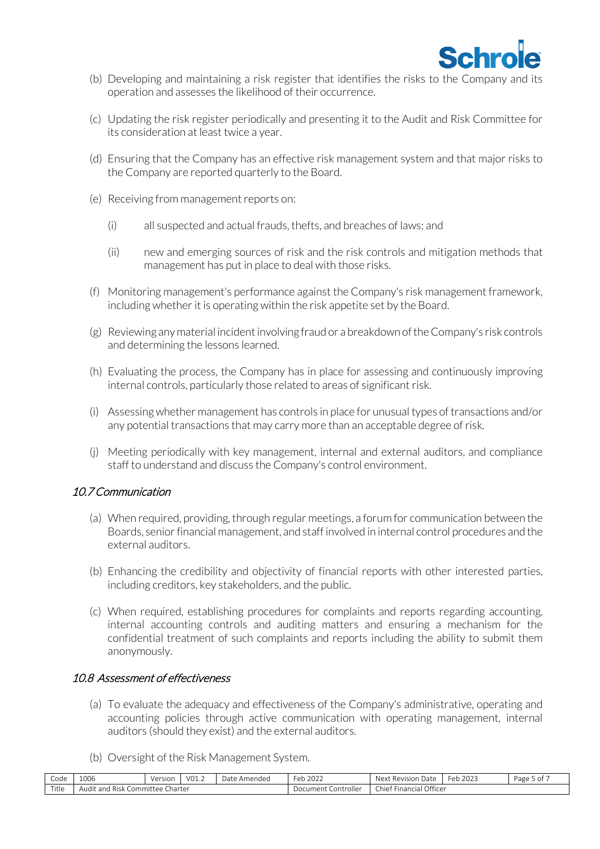

- (b) Developing and maintaining a risk register that identifies the risks to the Company and its operation and assesses the likelihood of their occurrence.
- (c) Updating the risk register periodically and presenting it to the Audit and Risk Committee for its consideration at least twice a year.
- (d) Ensuring that the Company has an effective risk management system and that major risks to the Company are reported quarterly to the Board.
- (e) Receiving from management reports on:
	- (i) all suspected and actual frauds, thefts, and breaches of laws; and
	- (ii) new and emerging sources of risk and the risk controls and mitigation methods that management has put in place to deal with those risks.
- (f) Monitoring management's performance against the Company's risk management framework, including whether it is operating within the risk appetite set by the Board.
- (g) Reviewing any material incident involving fraud or a breakdown of the Company's risk controls and determining the lessons learned.
- (h) Evaluating the process, the Company has in place for assessing and continuously improving internal controls, particularly those related to areas of significant risk.
- (i) Assessing whether management has controls in place for unusual types of transactions and/or any potential transactions that may carry more than an acceptable degree of risk.
- (j) Meeting periodically with key management, internal and external auditors, and compliance staff to understand and discuss the Company's control environment.

#### 10.7 Communication

- (a) When required, providing, through regular meetings, a forum for communication between the Boards, senior financial management, and staff involved in internal control procedures and the external auditors.
- (b) Enhancing the credibility and objectivity of financial reports with other interested parties, including creditors, key stakeholders, and the public.
- (c) When required, establishing procedures for complaints and reports regarding accounting, internal accounting controls and auditing matters and ensuring a mechanism for the confidential treatment of such complaints and reports including the ability to submit them anonymously.

### 10.8 Assessment of effectiveness

- (a) To evaluate the adequacy and effectiveness of the Company's administrative, operating and accounting policies through active communication with operating management, internal auditors (should they exist) and the external auditors.
- (b) Oversight of the Risk Management System.

| $\sim$<br>Code | 1006                                                | $\frac{1}{2}$<br>NB<br><b>UIJUL</b> | $\sim$<br>VO)<br>◡--- | Date<br>`Amendec | $\sim$<br>12022<br>⊦≏r<br>$\cdots$ | Next<br>Revision<br>ı Date                        | eb 2023 <sup>:</sup><br>⊢≏r | Page 5<br>-01 |
|----------------|-----------------------------------------------------|-------------------------------------|-----------------------|------------------|------------------------------------|---------------------------------------------------|-----------------------------|---------------|
| Title          | Charter<br>Committee<br>and<br>Audit<br><b>Risk</b> |                                     |                       |                  | ⊃ocumen+<br>. Controller           | Officer<br>- 1<br>Chief<br>Financial <sup>7</sup> |                             |               |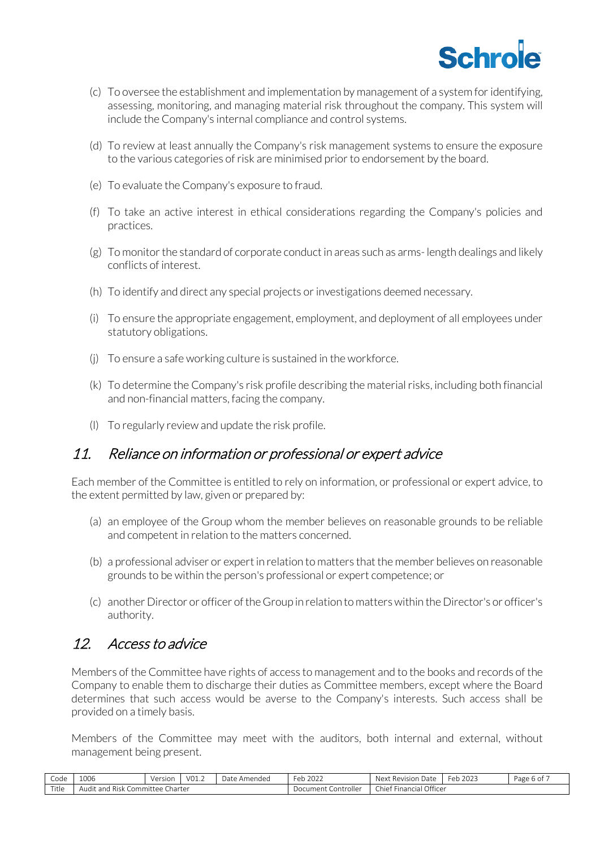

- (c) To oversee the establishment and implementation by management of a system for identifying, assessing, monitoring, and managing material risk throughout the company. This system will include the Company's internal compliance and control systems.
- (d) To review at least annually the Company's risk management systems to ensure the exposure to the various categories of risk are minimised prior to endorsement by the board.
- (e) To evaluate the Company's exposure to fraud.
- (f) To take an active interest in ethical considerations regarding the Company's policies and practices.
- (g) To monitor the standard of corporate conduct in areas such as arms- length dealings and likely conflicts of interest.
- (h) To identify and direct any special projects or investigations deemed necessary.
- (i) To ensure the appropriate engagement, employment, and deployment of all employees under statutory obligations.
- (j) To ensure a safe working culture is sustained in the workforce.
- (k) To determine the Company's risk profile describing the material risks, including both financial and non-financial matters, facing the company.
- (l) To regularly review and update the risk profile.

## 11. Reliance on information or professional or expert advice

Each member of the Committee is entitled to rely on information, or professional or expert advice, to the extent permitted by law, given or prepared by:

- (a) an employee of the Group whom the member believes on reasonable grounds to be reliable and competent in relation to the matters concerned.
- (b) a professional adviser or expert in relation to matters that the member believes on reasonable grounds to be within the person's professional or expert competence; or
- (c) another Director or officer of the Group in relation to matters within the Director's or officer's authority.

## 12. Access to advice

Members of the Committee have rights of access to management and to the books and records of the Company to enable them to discharge their duties as Committee members, except where the Board determines that such access would be averse to the Company's interests. Such access shall be provided on a timely basis.

Members of the Committee may meet with the auditors, both internal and external, without management being present.

| Code  | 1006                        | Version                | V01.2 | Amended<br>Date | $\sim$ $\sim$ $\sim$<br>Feb<br>2022 | --<br>Next<br><b>Revision Date</b> | 2023<br>Feb. | Page<br>: 6 OI |
|-------|-----------------------------|------------------------|-------|-----------------|-------------------------------------|------------------------------------|--------------|----------------|
| Title | Risk (<br>udit and<br>AUUIL | Charter<br>Committee C |       |                 | Controller<br>Document (            | Financial Officer<br>Chief         |              |                |